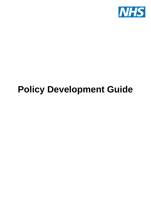

## **Policy Development Guide**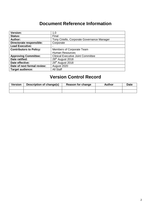## **Document Reference Information**

| 1.0                                         |
|---------------------------------------------|
| Final                                       |
| Tony Ciriello, Corporate Governance Manager |
| Corporate                                   |
|                                             |
| Members of Corporate Team                   |
| <b>Human Resources</b>                      |
| <b>Clinical Executive Joint Committee</b>   |
| 29 <sup>th</sup> August 2018                |
| 29 <sup>th</sup> August 2018                |
| August 2020                                 |
| All Staff                                   |
|                                             |

## **Version Control Record**

| <b>Version</b> | Description of change(s) | Reason for change | Author | Date |
|----------------|--------------------------|-------------------|--------|------|
|                |                          |                   |        |      |
|                |                          |                   |        |      |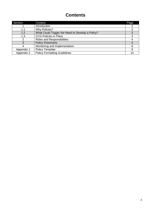## **Contents**

| Section    | Content                                          | Page |
|------------|--------------------------------------------------|------|
|            | Introduction                                     |      |
|            | <b>Why Policies?</b>                             |      |
| 1.2        | What Could Trigger the Need to Develop a Policy? |      |
| 1.3        | <b>CCG Policies in Place</b>                     | ≏    |
|            | <b>Roles and Responsibilities</b>                |      |
|            | <b>Policy Flowcharts</b>                         |      |
|            | Monitoring and Implementation                    |      |
| Appendix 1 | <b>Policy Template</b>                           |      |
| Appendix 2 | <b>Policy Formatting Guidelines</b>              | 14   |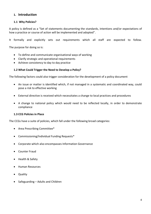#### **1. Introduction**

#### **1.1 Why Policies?**

A policy is defined as a "Set of statements documenting the standards, intentions and/or expectations of how a practice or course of action will be implemented and adopted".

It formally and explicitly sets out requirements which all staff are expected to follow.

The purpose for doing so is:

- To define and communicate organisational ways of working
- Clarify strategic and operational requirements
- Achieve consistency to day to day practice

#### **1.2 What Could Trigger the Need to Develop a Policy?**

The following factors could also trigger consideration for the development of a policy document

- An issue or matter is identified which, if not managed in a systematic and coordinated way, could pose a risk to effective working
- External directive is received which necessitates a change to local practices and procedures
- A change to national policy which would need to be reflected locally, in order to demonstrate compliance

#### **1.3 CCG Policies in Place**

The CCGs have a suite of policies, which fall under the following broad categories:

- Area Prescribing Committee\*
- Commissioning/Individual Funding Requests\*
- Corporate which also encompasses Information Governance
- Counter Fraud
- Health & Safety
- Human Resources
- **Quality**
- Safeguarding Adults and Children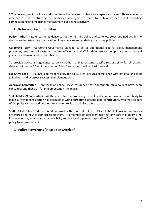\* The development of clinical and commissioning policies is subject to a separate process. Please contact a member of the contracting or medicines management team to obtain further detail regarding commissioning and medicines management policies respectively.

#### **2. Roles and Responsibilities**

**Policy Authors –** Refer to the guidance set out within this policy and to follow steps outlined within the charts overleaf regarding the creation of new policies and updating of existing policies.

**Corporate Team –** Corporate Governance Manager to act as operational lead for policy management processes, ensuring all systems operate efficiently and CCGs demonstrate compliance with national guidance and mandated responsibilities.

To provide advice and guidance to policy authors and to assume specific responsibility for all actions detailed within the "Post Submission of Policy" section of the flowchart overleaf.

**Executive Lead –** Assumes lead responsibility for policy area, ensures compliance with national and local guidelines; and oversees successful implementation.

**Approval Committee –** Approval of policy, seeks assurance that appropriate stakeholders have been consulted; and that plan for implementation is in place.

**Stakeholders/Contributors –** All those involved in producing the policy document have a responsibility to make sure that consultation has taken place with appropriate stakeholders/contributors, who may be part of the policy's target audience or are able to provide specialist expertise.

**Staff -** All staff have a duty to read and work within current policies. All staff should know where policies are stored and how to gain access to them. If a member of staff identifies that any part of a policy is no longer relevant, they have a responsibility to contact the person responsible for writing or reviewing the policy to inform them of this.

#### **3. Policy Flowcharts (Please see Overleaf)**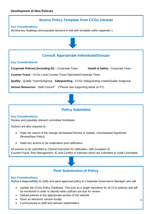#### **Source Policy Template from CCGs intranet**

#### **Key Considerations:**

Review key headings and populate sections in line with template within appendix 1

#### **Consult Appropriate Individuals/Groups**

#### **Key Considerations:**

**Corporate Policies (Including IG)** – Corporate Team **Health & Safety** - Corporate Team

**Counter Fraud** - CCGs Local Counter Fraud Specialist/Corporate Team

**Quality** - Quality Team/Subgroup **Safeguarding** - CCGs Safeguarding Leads/Quality Subgroup

**Human Resources** - Staff Council\* (\*Please see supporting detail on P7)



#### **Policy Submitted**

#### **Key Considerations:**

Review and populate relevant committee frontsheet.

Authors are also required to:

- State the nature of the change (Scheduled Review & Update, Unscheduled Significant Review/New Policy)
- State key actions to be undertaken post ratification

All policies to be submitted to Clinical Executive for ratification, with exception of: Counter Fraud, Risk Management, IG and Conflict of Interests which are submitted to Audit Committee

#### **Post Submission of Policy**

#### **Key Considerations:**

Author's responsibility to notify and send approved policy to Corporate Governance Manager who will:

- Update the CCGs Policy Database. This acts as a single repository for all CCG policies and will be monitored in order to identify when policies are due for review
- Upload policies to the appropriate section of the website
- Store an electronic version locally
- Communicate to staff and relevant stakeholders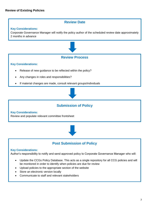#### **Review Date**

#### **Key Considerations:**

Corporate Governance Manager will notify the policy author of the scheduled review date approximately 2 months in advance



#### **Review Process**

#### **Key Considerations:**

- Release of new guidance to be reflected within the policy?
- Any changes in roles and responsibilities?
- If material changes are made, consult relevant groups/individuals



#### **Submission of Policy**

**Key Considerations:**  Review and populate relevant committee frontsheet



#### **Post Submission of Policy**

#### **Key Considerations:**

Author's responsibility to notify and send approved policy to Corporate Governance Manager who will:

- Update the CCGs Policy Database. This acts as a single repository for all CCG policies and will be monitored in order to identify when policies are due for review
- Upload policies to the appropriate section of the website
- Store an electronic version locally
- Communicate to staff and relevant stakeholders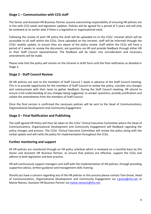#### **Stage 1 – Communication with CCG staff**

The Senior and Assistant HR Business Partner assume overarching responsibility of ensuring HR policies are in line with CCG needs and legislation updates. Policies will be agreed for a period of 3 years and will only be reviewed at an earlier date if there is a legislative or organisational need.

Following the review of each HR policy the draft will be uploaded on to the CCGs' intranet which will be accessible to all staff within the CCGs. Once uploaded on the intranet, staff will be informed through the CCGs' weekly update, to ensure they are aware of the policy review. Staff within the CCGs will have a period of 2 weeks to review the document, ask questions via HR and provide feedback through either HR or their Staff Council representative. The feedback will be taken into consideration and necessary amendments will be made.

Please note that the policy will remain on the intranet in draft form until the final ratification as detailed in Stage 3.

#### **Stage 2 - Staff Council Review**

All HR policies are sent to the members of Staff Council 1 week in advance of the Staff Council meeting. This is to provide opportunity for the members of Staff Council to review the policy, consider any changes and communicate with their team to gather feedback. During the Staff Council meeting, HR attend to ensure a full understanding of any changes being suggested, to answer questions, provide justification and collate the amendments from the members of Staff Council.

Once the final version is confirmed the necessary policies will be sent to the Head of Communications, Organisational Development and Community Engagement.

#### **Stage 3 – Final Ratification and Publishing**

The staff agreed HR Policy will then be taken to the CCGs' Clinical Executive Committee where the Head of Communications, Organisational Development and Community Engagement will feedback regarding the policy changes and process. The CCGs' Clinical Executive Committee will review the policy along with the verbal update and will ratify the policy for implementation throughout the CCGs.

#### **Further monitoring and support**

All HR policies are monitored through an HR policy schedule which is reviewed on a monthly basis by the Senior and Assistant HR Business Partner, to ensure that policies are effective, support the CCGs and adhere to both legislation and best practice.

HR will continuously support managers and staff with the implementation of HR policies, through providing supportive advice, written guidance and management skills training.

Should you have a concern regarding any of the HR policies or this process please contact Tom Grove, Head of Communications, Organisational Development and Community Engagement via [t.grove@nhs.net](mailto:t.grove@nhs.net) or Maisie Reeves, Assistant HR Business Partner via [maisie.reeves1@nhs.net](mailto:maisie.reeves1@nhs.net)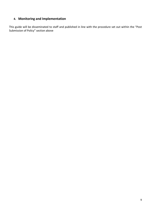#### **4. Monitoring and Implementation**

This guide will be disseminated to staff and published in line with the procedure set out within the "Post Submission of Policy" section above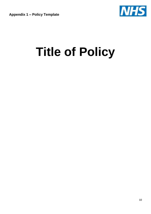**Appendix 1 – Policy Template**



# **Title of Policy**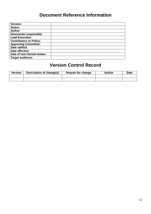## **Document Reference Information**

| <b>Version:</b>                |  |
|--------------------------------|--|
| <b>Status:</b>                 |  |
| Author:                        |  |
| Directorate responsible:       |  |
| <b>Lead Executive:</b>         |  |
| <b>Contributors to Policy:</b> |  |
| <b>Approving Committee:</b>    |  |
| Date ratified:                 |  |
| Date effective:                |  |
| Date of next formal review:    |  |
| <b>Target audience:</b>        |  |

## **Version Control Record**

| <b>Version</b> | Description of change(s) | Reason for change | Author | Date |
|----------------|--------------------------|-------------------|--------|------|
|                |                          |                   |        |      |
|                |                          |                   |        |      |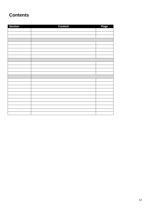## **Contents**

| <b>Section</b> | <b>Content</b> | Page |
|----------------|----------------|------|
|                |                |      |
|                |                |      |
|                |                |      |
|                |                |      |
|                |                |      |
|                |                |      |
|                |                |      |
|                |                |      |
|                |                |      |
|                |                |      |
|                |                |      |
|                |                |      |
|                |                |      |
|                |                |      |
|                |                |      |
|                |                |      |
|                |                |      |
|                |                |      |
|                |                |      |
|                |                |      |
|                |                |      |
|                |                |      |
|                |                |      |
|                |                |      |
|                |                |      |
|                |                |      |
|                |                |      |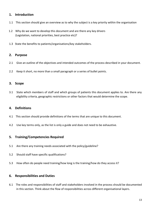#### **1. Introduction**

- 1.1 This section should give an overview as to why the subject is a key priority within the organisation
- 1.2 Why do we want to develop this document and are there any key drivers (Legislation, national priorities, best practice etc)?
- 1.3 State the benefits to patients/organisations/key stakeholders.

#### **2. Purpose**

- 2.1 Give an outline of the objectives and intended outcomes of the process described in your document.
- 2.2 Keep it short, no more than a small paragraph or a series of bullet points.

#### **3. Scope**

3.1 State which members of staff and which groups of patients this document applies to. Are there any eligibility criteria, geographic restrictions or other factors that would determine the scope.

#### **4. Definitions**

- 4.1 This section should provide definitions of the terms that are unique to this document.
- 4.2 Use key terms only, as the list is only a guide and does not need to be exhaustive.

#### **5. Training/Competencies Required**

- 5.1 Are there any training needs associated with the policy/guideline?
- 5.2 Should staff have specific qualifications?
- 5.3 How often do people need training/how long is the training/how do they access it?

#### **6. Responsibilities and Duties**

6.1 The roles and responsibilities of staff and stakeholders involved in the process should be documented in this section. Think about the flow of responsibilities across different organisational layers.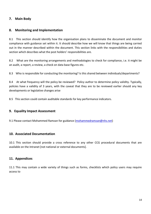#### **7. Main Body**

#### **8. Monitoring and Implementation**

8.1 This section should identify how the organisation plans to disseminate the document and monitor compliance with guidance set within it. It should describe how we will know that things are being carried out in the manner described within the document. This section links with the responsibilities and duties section which describes what the post holders' responsibilities are.

8.2 What are the monitoring arrangements and methodologies to check for compliance, i.e. it might be an audit, a report, a review, a check on data base figures etc.

8.3 Who is responsible for conducting the monitoring? Is this shared between individuals/departments?

8.4 At what frequency will the policy be reviewed? Policy author to determine policy validity. Typically, policies have a validity of 3 years, with the caveat that they are to be reviewed earlier should any key developments or legislative changes arise

8.5 This section could contain auditable standards for key performance indicators.

#### **9. Equality Impact Assessment**

9.1 Please contact Mohammed Ramzan for guidance [\(mohammedramzan@nhs.net\)](mailto:mohammedramzan@nhs.net)

#### **10. Associated Documentation**

10.1 This section should provide a cross reference to any other CCG procedural documents that are available on the Intranet [not national or external documents].

#### **11. Appendices**

11.1 This may contain a wide variety of things such as forms, checklists which policy users may require access to